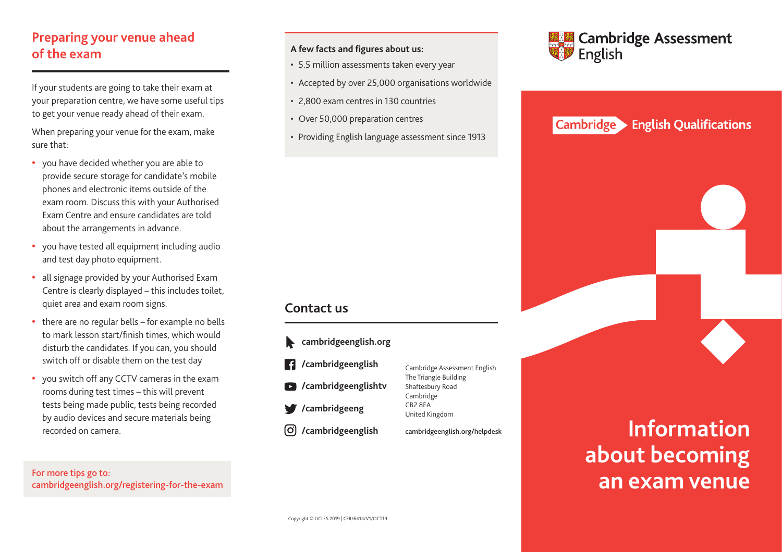## **Preparing your venue ahead of the exam**

If your students are going to take their exam at your preparation centre, we have some useful tips to get your venue ready ahead of their exam.

When preparing your venue for the exam, make sure that:

- **•** you have decided whether you are able to provide secure storage for candidate's mobile phones and electronic items outside of the exam room. Discuss this with your Authorised Exam Centre and ensure candidates are told about the arrangements in advance.
- **•** you have tested all equipment including audio and test day photo equipment.
- **•** all signage provided by your Authorised Exam Centre is clearly displayed – this includes toilet, quiet area and exam room signs.
- **•** there are no regular bells for example no bells to mark lesson start/finish times, which would disturb the candidates. If you can, you should switch off or disable them on the test day
- **•** you switch off any CCTV cameras in the exam rooms during test times – this will prevent tests being made public, tests being recorded by audio devices and secure materials being recorded on camera.

For more tips go to: cambridgeenglish.org/registering-for-the-exam

### **A few facts and figures about us:**

- 5.5 million assessments taken every year
- Accepted by over 25,000 organisations worldwide
- 2,800 exam centres in 130 countries
- Over 50,000 preparation centres
- Providing English language assessment since 1913

## **Contact us**





#### **English Qualifications Cambridge**



# **Information about becoming an exam venue**